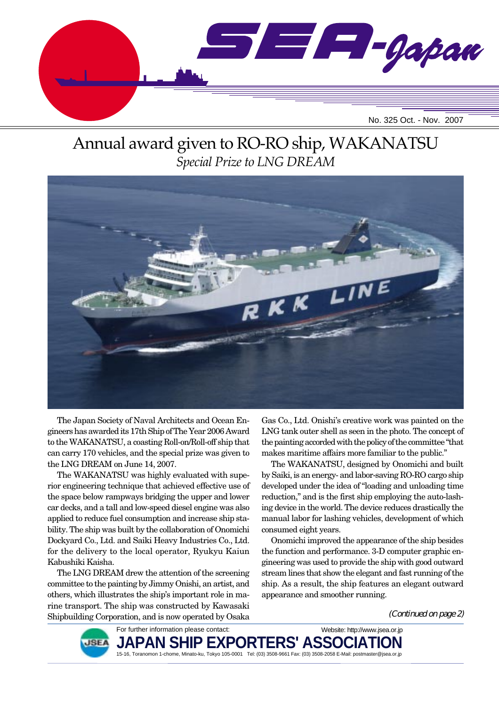

# Annual award given to RO-RO ship, WAKANATSU *Special Prize to LNG DREAM*



The Japan Society of Naval Architects and Ocean Engineers has awarded its 17th Ship of The Year 2006 Award to the WAKANATSU, a coasting Roll-on/Roll-off ship that can carry 170 vehicles, and the special prize was given to the LNG DREAM on June 14, 2007.

The WAKANATSU was highly evaluated with superior engineering technique that achieved effective use of the space below rampways bridging the upper and lower car decks, and a tall and low-speed diesel engine was also applied to reduce fuel consumption and increase ship stability. The ship was built by the collaboration of Onomichi Dockyard Co., Ltd. and Saiki Heavy Industries Co., Ltd. for the delivery to the local operator, Ryukyu Kaiun Kabushiki Kaisha.

The LNG DREAM drew the attention of the screening committee to the painting by Jimmy Onishi, an artist, and others, which illustrates the ship's important role in marine transport. The ship was constructed by Kawasaki Shipbuilding Corporation, and is now operated by Osaka

Gas Co., Ltd. Onishi's creative work was painted on the LNG tank outer shell as seen in the photo. The concept of the painting accorded with the policy of the committee "that makes maritime affairs more familiar to the public."

The WAKANATSU, designed by Onomichi and built by Saiki, is an energy- and labor-saving RO-RO cargo ship developed under the idea of "loading and unloading time reduction," and is the first ship employing the auto-lashing device in the world. The device reduces drastically the manual labor for lashing vehicles, development of which consumed eight years.

Onomichi improved the appearance of the ship besides the function and performance. 3-D computer graphic engineering was used to provide the ship with good outward stream lines that show the elegant and fast running of the ship. As a result, the ship features an elegant outward appearance and smoother running.

(Continued on page 2)



For further information please contact: **JAPAN SHIP EXPORTERS' ASSO** 15-16, Toranomon 1-chome, Minato-ku, Tokyo 105-0001 Tel: (03) 3508-9661 Fax: (03) 3508-2058 E-Mail: postmaster@jsea.or.jp Website: http://www.jsea.or.jp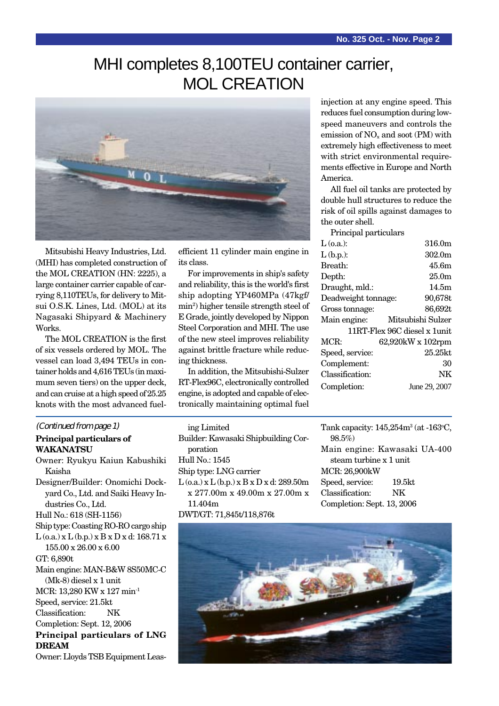# MHI completes 8,100TEU container carrier, MOL CREATION



Mitsubishi Heavy Industries, Ltd. (MHI) has completed construction of the MOL CREATION (HN: 2225), a large container carrier capable of carrying 8,110TEUs, for delivery to Mitsui O.S.K. Lines, Ltd. (MOL) at its Nagasaki Shipyard & Machinery Works.

The MOL CREATION is the first of six vessels ordered by MOL. The vessel can load 3,494 TEUs in container holds and 4,616 TEUs (in maximum seven tiers) on the upper deck, and can cruise at a high speed of 25.25 knots with the most advanced fuel-

#### (Continued from page 1)

#### **Principal particulars of WAKANATSU**

Owner: Ryukyu Kaiun Kabushiki Kaisha Designer/Builder: Onomichi Dockyard Co., Ltd. and Saiki Heavy Industries Co., Ltd. Hull No.: 618 (SH-1156) Ship type: Coasting RO-RO cargo ship  $L$  (o.a.) x  $L$  (b.p.) x  $B$  x  $D$  x d: 168.71 x 155.00 x 26.00 x 6.00 GT: 6,890t Main engine: MAN-B&W 8S50MC-C (Mk-8) diesel x 1 unit MCR: 13,280 KW x 127 min-1 Speed, service: 21.5kt Classification: NK Completion: Sept. 12, 2006 **Principal particulars of LNG DREAM** Owner: Lloyds TSB Equipment Leasefficient 11 cylinder main engine in its class.

For improvements in ship's safety and reliability, this is the world's first ship adopting YP460MPa (47kgf/ min2 ) higher tensile strength steel of E Grade, jointly developed by Nippon Steel Corporation and MHI. The use of the new steel improves reliability against brittle fracture while reducing thickness.

In addition, the Mitsubishi-Sulzer RT-Flex96C, electronically controlled engine, is adopted and capable of electronically maintaining optimal fuel

ing Limited Builder: Kawasaki Shipbuilding Corporation Hull No.: 1545 Ship type: LNG carrier  $L$  (o.a.) x  $L$  (b.p.) x  $B$  x  $D$  x d: 289.50m x 277.00m x 49.00m x 27.00m x 11.404m DWT/GT: 71,845t/118,876t

injection at any engine speed. This reduces fuel consumption during lowspeed maneuvers and controls the emission of  $NO<sub>x</sub>$  and soot (PM) with extremely high effectiveness to meet with strict environmental requirements effective in Europe and North America.

All fuel oil tanks are protected by double hull structures to reduce the risk of oil spills against damages to the outer shell.

| Principal particulars |                              |
|-----------------------|------------------------------|
| $\rm L$ (o.a.):       | 316.0m                       |
| $L$ (b.p.):           | 302.0m                       |
| Breath:               | 45.6m                        |
| Depth:                | 25.0 <sub>m</sub>            |
| Draught, mld.:        | 14.5m                        |
| Deadweight tonnage:   | 90,678t                      |
| Gross tonnage:        | 86,692t                      |
| Main engine:          | Mitsubishi Sulzer            |
|                       | 11RT-Flex 96C diesel x 1unit |
| MCR:                  | 62,920kW x 102rpm            |
| Speed, service:       | 25.25kt                      |
| Complement:           | 30                           |
| Classification:       | NK                           |
| Completion:           | June 29, 2007                |
|                       |                              |

Tank capacity:  $145,\!254\mathrm{m}^3$  (at -163°C, 98.5%) Main engine: Kawasaki UA-400 steam turbine x 1 unit MCR: 26,900kW Speed, service: 19.5kt Classification: NK Completion: Sept. 13, 2006

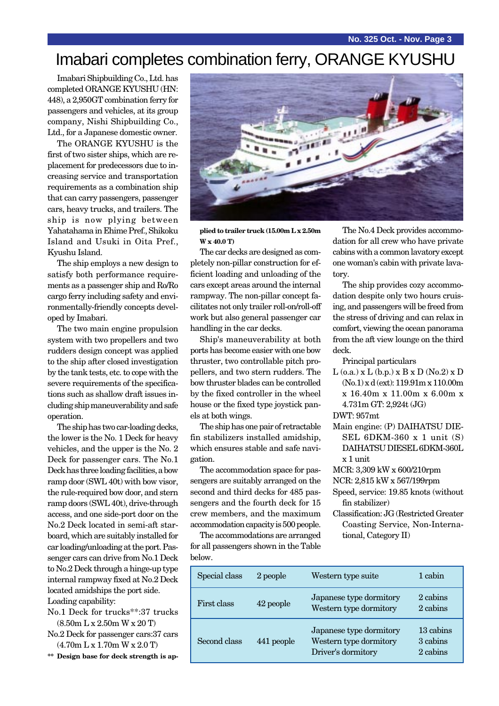# Imabari completes combination ferry, ORANGE KYUSHU

Imabari Shipbuilding Co., Ltd. has completed ORANGE KYUSHU (HN: 448), a 2,950GT combination ferry for passengers and vehicles, at its group company, Nishi Shipbuilding Co., Ltd., for a Japanese domestic owner.

The ORANGE KYUSHU is the first of two sister ships, which are replacement for predecessors due to increasing service and transportation requirements as a combination ship that can carry passengers, passenger cars, heavy trucks, and trailers. The ship is now plying between Yahatahama in Ehime Pref., Shikoku Island and Usuki in Oita Pref., Kyushu Island.

The ship employs a new design to satisfy both performance requirements as a passenger ship and Ro/Ro cargo ferry including safety and environmentally-friendly concepts developed by Imabari.

The two main engine propulsion system with two propellers and two rudders design concept was applied to the ship after closed investigation by the tank tests, etc. to cope with the severe requirements of the specifications such as shallow draft issues including ship maneuverability and safe operation.

The ship has two car-loading decks, the lower is the No. 1 Deck for heavy vehicles, and the upper is the No. 2 Deck for passenger cars. The No.1 Deck has three loading facilities, a bow ramp door (SWL 40t) with bow visor, the rule-required bow door, and stern ramp doors (SWL 40t), drive-through access, and one side-port door on the No.2 Deck located in semi-aft starboard, which are suitably installed for car loading/unloading at the port. Passenger cars can drive from No.1 Deck to No.2 Deck through a hinge-up type internal rampway fixed at No.2 Deck located amidships the port side. Loading capability:

No.1 Deck for trucks\*\*:37 trucks (8.50m L x 2.50m W x 20 T)

- No.2 Deck for passenger cars:37 cars (4.70m L x 1.70m W x 2.0 T)
- **\*\* Design base for deck strength is ap-**



**plied to trailer truck (15.00m L x 2.50m W x 40.0 T)**

The car decks are designed as completely non-pillar construction for efficient loading and unloading of the cars except areas around the internal rampway. The non-pillar concept facilitates not only trailer roll-on/roll-off work but also general passenger car handling in the car decks.

Ship's maneuverability at both ports has become easier with one bow thruster, two controllable pitch propellers, and two stern rudders. The bow thruster blades can be controlled by the fixed controller in the wheel house or the fixed type joystick panels at both wings.

The ship has one pair of retractable fin stabilizers installed amidship, which ensures stable and safe navigation.

The accommodation space for passengers are suitably arranged on the second and third decks for 485 passengers and the fourth deck for 15 crew members, and the maximum accommodation capacity is 500 people.

The accommodations are arranged for all passengers shown in the Table below.

The No.4 Deck provides accommodation for all crew who have private cabins with a common lavatory except one woman's cabin with private lavatory.

The ship provides cozy accommodation despite only two hours cruising, and passengers will be freed from the stress of driving and can relax in comfort, viewing the ocean panorama from the aft view lounge on the third deck.

Principal particulars

 $L$  (o.a.) x  $L$  (b.p.) x  $B$  x  $D$  (No.2) x  $D$ (No.1) x d (ext): 119.91m x 110.00m x 16.40m x 11.00m x 6.00m x 4.731m GT: 2,924t (JG)

DWT: 957mt

Main engine: (P) DAIHATSU DIE-SEL 6DKM-360 x 1 unit (S) DAIHATSU DIESEL 6DKM-360L x 1 unit

MCR: 3,309 kW x 600/210rpm

NCR: 2,815 kW x 567/199rpm

Speed, service: 19.85 knots (without fin stabilizer)

Classification: JG (Restricted Greater Coasting Service, Non-International, Category II)

| Special class | 2 people   | Western type suite                                                      | 1 cabin                           |
|---------------|------------|-------------------------------------------------------------------------|-----------------------------------|
| First class   | 42 people  | Japanese type dormitory<br>Western type dormitory                       | 2 cabins<br>2 cabins              |
| Second class  | 441 people | Japanese type dormitory<br>Western type dormitory<br>Driver's dormitory | 13 cabins<br>3 cabins<br>2 cabins |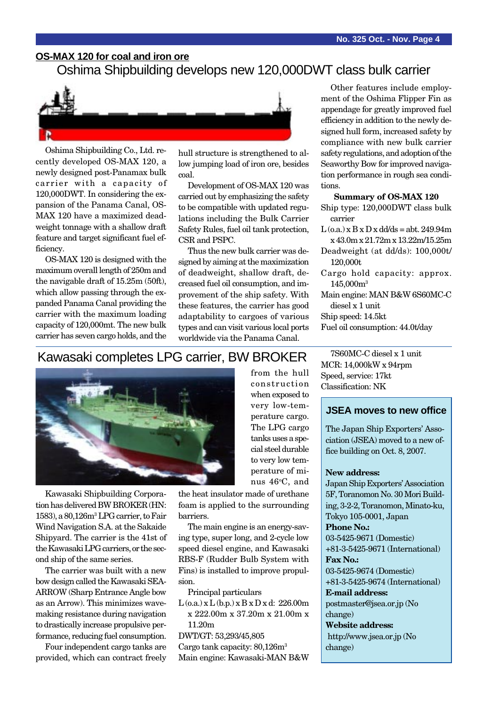### **OS-MAX 120 for coal and iron ore**

Oshima Shipbuilding develops new 120,000DWT class bulk carrier



Oshima Shipbuilding Co., Ltd. recently developed OS-MAX 120, a newly designed post-Panamax bulk carrier with a capacity of 120,000DWT. In considering the expansion of the Panama Canal, OS-MAX 120 have a maximized deadweight tonnage with a shallow draft feature and target significant fuel efficiency.

OS-MAX 120 is designed with the maximum overall length of 250m and the navigable draft of 15.25m (50ft), which allow passing through the expanded Panama Canal providing the carrier with the maximum loading capacity of 120,000mt. The new bulk carrier has seven cargo holds, and the

hull structure is strengthened to allow jumping load of iron ore, besides coal.

Development of OS-MAX 120 was carried out by emphasizing the safety to be compatible with updated regulations including the Bulk Carrier Safety Rules, fuel oil tank protection, CSR and PSPC.

Thus the new bulk carrier was designed by aiming at the maximization of deadweight, shallow draft, decreased fuel oil consumption, and improvement of the ship safety. With these features, the carrier has good adaptability to cargoes of various types and can visit various local ports worldwide via the Panama Canal.

Other features include employment of the Oshima Flipper Fin as appendage for greatly improved fuel efficiency in addition to the newly designed hull form, increased safety by compliance with new bulk carrier safety regulations, and adoption of the Seaworthy Bow for improved navigation performance in rough sea conditions.

### **Summary of OS-MAX 120**

- Ship type: 120,000DWT class bulk carrier
- $L$  (o.a.)  $x B x D x d d/d s = abt. 249.94m$ x 43.0m x 21.72m x 13.22m/15.25m
- Deadweight (at dd/ds): 100,000t/ 120,000t
- Cargo hold capacity: approx. 145,000m3
- Main engine: MAN B&W 6S60MC-C diesel x 1 unit

Ship speed: 14.5kt

Fuel oil consumption: 44.0t/day

### Kawasaki completes LPG carrier, BW BROKER



Kawasaki Shipbuilding Corporation has delivered BW BROKER (HN: 1583), a 80,126m3 LPG carrier, to Fair Wind Navigation S.A. at the Sakaide Shipyard. The carrier is the 41st of the Kawasaki LPG carriers, or the second ship of the same series.

The carrier was built with a new bow design called the Kawasaki SEA-ARROW (Sharp Entrance Angle bow as an Arrow). This minimizes wavemaking resistance during navigation to drastically increase propulsive performance, reducing fuel consumption.

Four independent cargo tanks are provided, which can contract freely from the hull construction when exposed to very low-temperature cargo. The LPG cargo tanks uses a special steel durable to very low temperature of minus 46°C, and

the heat insulator made of urethane foam is applied to the surrounding barriers.

The main engine is an energy-saving type, super long, and 2-cycle low speed diesel engine, and Kawasaki RBS-F (Rudder Bulb System with Fins) is installed to improve propulsion.

Principal particulars

 $L$  (o.a.) x  $L$  (b.p.) x  $B$  x  $D$  x d: 226.00m x 222.00m x 37.20m x 21.00m x 11.20m

DWT/GT: 53,293/45,805 Cargo tank capacity: 80,126m3

Main engine: Kawasaki-MAN B&W

7S60MC-C diesel x 1 unit MCR: 14,000kW x 94rpm Speed, service: 17kt Classification: NK

### **JSEA moves to new office**

The Japan Ship Exporters' Association (JSEA) moved to a new office building on Oct. 8, 2007.

#### **New address:**

Japan Ship Exporters' Association 5F, Toranomon No. 30 Mori Building, 3-2-2, Toranomon, Minato-ku, Tokyo 105-0001, Japan **Phone No.:** 03-5425-9671 (Domestic) +81-3-5425-9671 (International) **Fax No.:** 03-5425-9674 (Domestic) +81-3-5425-9674 (International)

**E-mail address:** postmaster@jsea.or.jp (No

change) **Website address:**

http://www.jsea.or.jp (No change)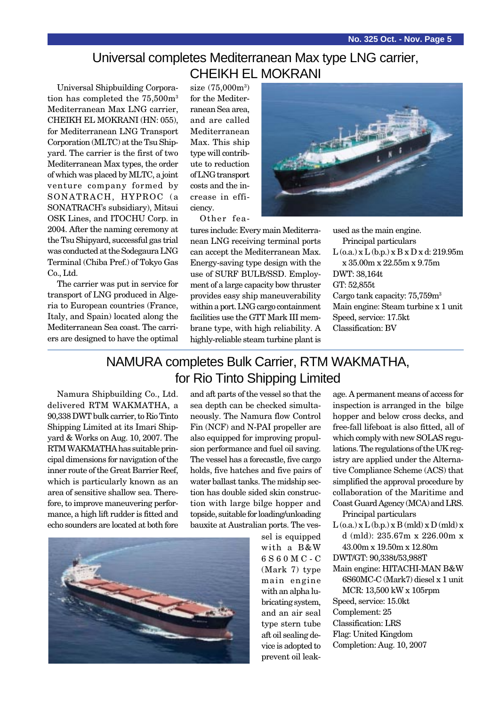### Universal completes Mediterranean Max type LNG carrier, CHEIKH EL MOKRANI

Universal Shipbuilding Corporation has completed the 75,500m3 Mediterranean Max LNG carrier, CHEIKH EL MOKRANI (HN: 055), for Mediterranean LNG Transport Corporation (MLTC) at the Tsu Shipyard. The carrier is the first of two Mediterranean Max types, the order of which was placed by MLTC, a joint venture company formed by SONATRACH, HYPROC (a SONATRACH's subsidiary), Mitsui OSK Lines, and ITOCHU Corp. in 2004. After the naming ceremony at the Tsu Shipyard, successful gas trial was conducted at the Sodegaura LNG Terminal (Chiba Pref.) of Tokyo Gas Co., Ltd.

The carrier was put in service for transport of LNG produced in Algeria to European countries (France, Italy, and Spain) located along the Mediterranean Sea coast. The carriers are designed to have the optimal

size (75,000m<sup>3</sup>) for the Mediterranean Sea area, and are called Mediterranean Max. This ship type will contribute to reduction of LNG transport costs and the increase in efficiency.

Other fea-

tures include: Every main Mediterranean LNG receiving terminal ports can accept the Mediterranean Max. Energy-saving type design with the use of SURF BULB/SSD. Employment of a large capacity bow thruster provides easy ship maneuverability within a port. LNG cargo containment facilities use the GTT Mark III membrane type, with high reliability. A highly-reliable steam turbine plant is

used as the main engine. Principal particulars L (o.a.) x L (b.p.) x B x D x d: 219.95m x 35.00m x 22.55m x 9.75m DWT: 38,164t GT: 52,855t Cargo tank capacity: 75,759m3 Main engine: Steam turbine x 1 unit Speed, service: 17.5kt Classification: BV

## NAMURA completes Bulk Carrier, RTM WAKMATHA, for Rio Tinto Shipping Limited

Namura Shipbuilding Co., Ltd. delivered RTM WAKMATHA, a 90,338 DWT bulk carrier, to Rio Tinto Shipping Limited at its Imari Shipyard & Works on Aug. 10, 2007. The RTM WAKMATHA has suitable principal dimensions for navigation of the inner route of the Great Barrier Reef, which is particularly known as an area of sensitive shallow sea. Therefore, to improve maneuvering performance, a high lift rudder is fitted and echo sounders are located at both fore and aft parts of the vessel so that the sea depth can be checked simultaneously. The Namura flow Control Fin (NCF) and N-PAI propeller are also equipped for improving propulsion performance and fuel oil saving. The vessel has a forecastle, five cargo holds, five hatches and five pairs of water ballast tanks. The midship section has double sided skin construction with large bilge hopper and topside, suitable for loading/unloading bauxite at Australian ports. The ves-



sel is equipped with a B&W 6S60MC-C (Mark 7) type main engine with an alpha lubricating system, and an air seal type stern tube aft oil sealing device is adopted to prevent oil leakage. A permanent means of access for inspection is arranged in the bilge hopper and below cross decks, and free-fall lifeboat is also fitted, all of which comply with new SOLAS regulations. The regulations of the UK registry are applied under the Alternative Compliance Scheme (ACS) that simplified the approval procedure by collaboration of the Maritime and Coast Guard Agency (MCA) and LRS.

- Principal particulars  $L$  (o.a.)  $x L$  (b.p.)  $x B$  (mld)  $x D$  (mld)  $x$ d (mld): 235.67m x 226.00m x
- 43.00m x 19.50m x 12.80m
- DWT/GT: 90,338t/53,988T
- Main engine: HITACHI-MAN B&W 6S60MC-C (Mark7) diesel x 1 unit

MCR: 13,500 kW x 105rpm Speed, service: 15.0kt Complement: 25 Classification: LRS Flag: United Kingdom Completion: Aug. 10, 2007